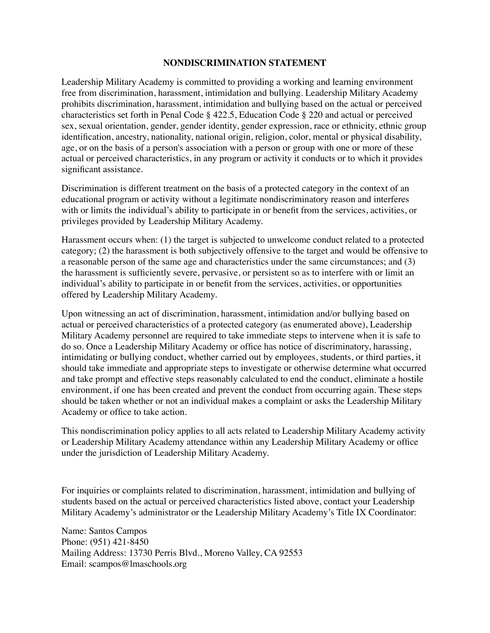## **NONDISCRIMINATION STATEMENT**

Leadership Military Academy is committed to providing a working and learning environment free from discrimination, harassment, intimidation and bullying. Leadership Military Academy prohibits discrimination, harassment, intimidation and bullying based on the actual or perceived characteristics set forth in Penal Code § 422.5, Education Code § 220 and actual or perceived sex, sexual orientation, gender, gender identity, gender expression, race or ethnicity, ethnic group identification, ancestry, nationality, national origin, religion, color, mental or physical disability, age, or on the basis of a person's association with a person or group with one or more of these actual or perceived characteristics, in any program or activity it conducts or to which it provides significant assistance.

Discrimination is different treatment on the basis of a protected category in the context of an educational program or activity without a legitimate nondiscriminatory reason and interferes with or limits the individual's ability to participate in or benefit from the services, activities, or privileges provided by Leadership Military Academy.

Harassment occurs when: (1) the target is subjected to unwelcome conduct related to a protected category; (2) the harassment is both subjectively offensive to the target and would be offensive to a reasonable person of the same age and characteristics under the same circumstances; and (3) the harassment is sufficiently severe, pervasive, or persistent so as to interfere with or limit an individual's ability to participate in or benefit from the services, activities, or opportunities offered by Leadership Military Academy.

Upon witnessing an act of discrimination, harassment, intimidation and/or bullying based on actual or perceived characteristics of a protected category (as enumerated above), Leadership Military Academy personnel are required to take immediate steps to intervene when it is safe to do so. Once a Leadership Military Academy or office has notice of discriminatory, harassing, intimidating or bullying conduct, whether carried out by employees, students, or third parties, it should take immediate and appropriate steps to investigate or otherwise determine what occurred and take prompt and effective steps reasonably calculated to end the conduct, eliminate a hostile environment, if one has been created and prevent the conduct from occurring again. These steps should be taken whether or not an individual makes a complaint or asks the Leadership Military Academy or office to take action.

This nondiscrimination policy applies to all acts related to Leadership Military Academy activity or Leadership Military Academy attendance within any Leadership Military Academy or office under the jurisdiction of Leadership Military Academy.

For inquiries or complaints related to discrimination, harassment, intimidation and bullying of students based on the actual or perceived characteristics listed above, contact your Leadership Military Academy's administrator or the Leadership Military Academy's Title IX Coordinator:

Name: Santos Campos Phone: (951) 421-8450 Mailing Address: 13730 Perris Blvd., Moreno Valley, CA 92553 Email: scampos@lmaschools.org